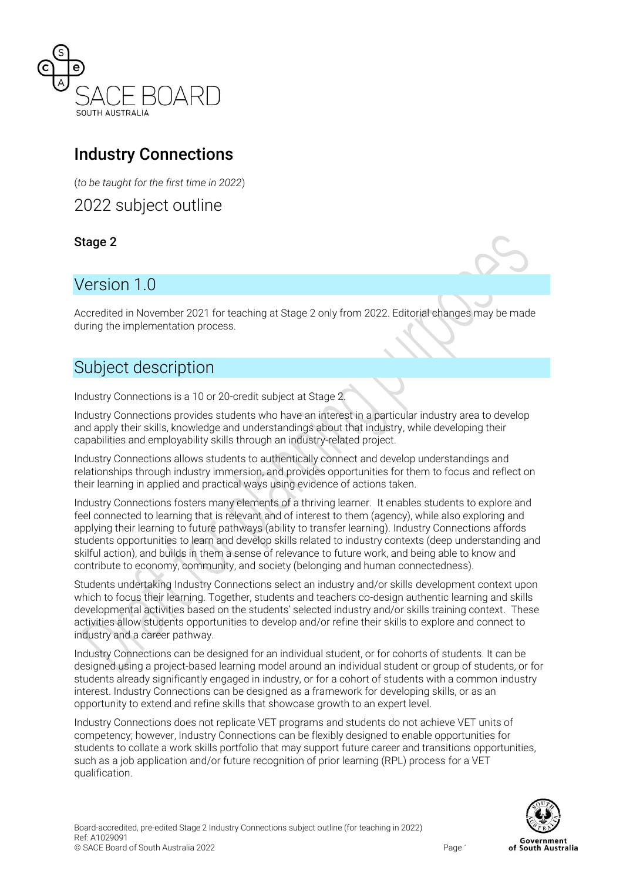

# Industry Connections

(*to be taught for the first time in 2022*)

2022 subject outline

Stage 2

# Version 1.0

Accredited in November 2021 for teaching at Stage 2 only from 2022. Editorial changes may be made during the implementation process.

# Subject description

Industry Connections is a 10 or 20-credit subject at Stage 2.

Industry Connections provides students who have an interest in a particular industry area to develop and apply their skills, knowledge and understandings about that industry, while developing their capabilities and employability skills through an industry-related project.

Industry Connections allows students to authentically connect and develop understandings and relationships through industry immersion, and provides opportunities for them to focus and reflect on their learning in applied and practical ways using evidence of actions taken.

Industry Connections fosters many elements of a thriving learner. It enables students to explore and feel connected to learning that is relevant and of interest to them (agency), while also exploring and applying their learning to future pathways (ability to transfer learning). Industry Connections affords students opportunities to learn and develop skills related to industry contexts (deep understanding and skilful action), and builds in them a sense of relevance to future work, and being able to know and contribute to economy, community, and society (belonging and human connectedness).

Students undertaking Industry Connections select an industry and/or skills development context upon which to focus their learning. Together, students and teachers co-design authentic learning and skills developmental activities based on the students' selected industry and/or skills training context. These activities allow students opportunities to develop and/or refine their skills to explore and connect to industry and a career pathway.

Industry Connections can be designed for an individual student, or for cohorts of students. It can be designed using a project-based learning model around an individual student or group of students, or for students already significantly engaged in industry, or for a cohort of students with a common industry interest. Industry Connections can be designed as a framework for developing skills, or as an opportunity to extend and refine skills that showcase growth to an expert level.

Industry Connections does not replicate VET programs and students do not achieve VET units of competency; however, Industry Connections can be flexibly designed to enable opportunities for students to collate a work skills portfolio that may support future career and transitions opportunities, such as a job application and/or future recognition of prior learning (RPL) process for a VET qualification.

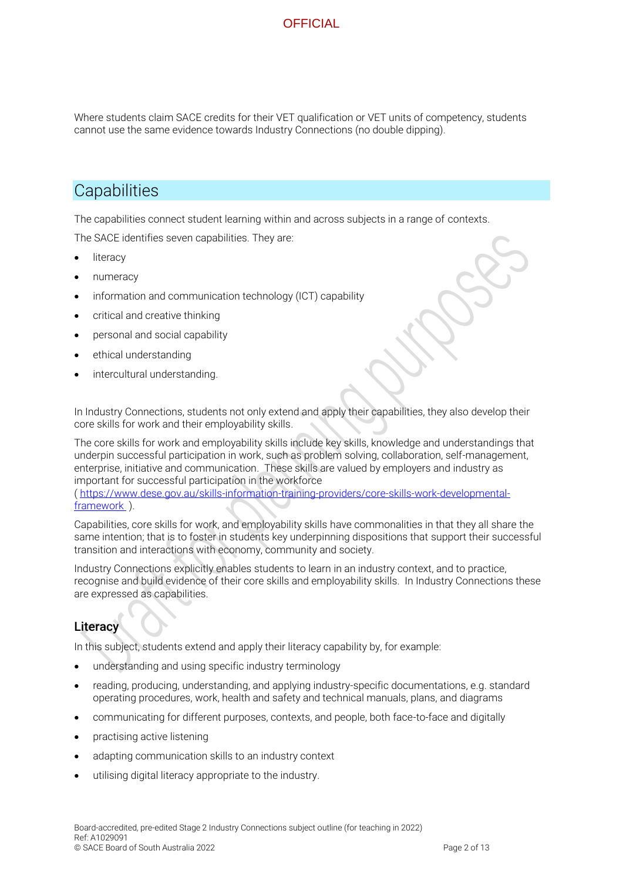Where students claim SACE credits for their VET qualification or VET units of competency, students cannot use the same evidence towards Industry Connections (no double dipping).

## **Capabilities**

The capabilities connect student learning within and across subjects in a range of contexts.

The SACE identifies seven capabilities. They are:

- literacy
- numeracy
- information and communication technology (ICT) capability
- critical and creative thinking
- personal and social capability
- ethical understanding
- intercultural understanding.

In Industry Connections, students not only extend and apply their capabilities, they also develop their core skills for work and their employability skills.

The core skills for work and employability skills include key skills, knowledge and understandings that underpin successful participation in work, such as problem solving, collaboration, self-management, enterprise, initiative and communication. These skills are valued by employers and industry as important for successful participation in the workforce

[\( https://www.dese.gov.au/skills-information-training-providers/core-skills-work-developmental](https://www.dese.gov.au/skills-information-training-providers/core-skills-work-developmental-framework)[framework](https://www.dese.gov.au/skills-information-training-providers/core-skills-work-developmental-framework) ).

Capabilities, core skills for work, and employability skills have commonalities in that they all share the same intention; that is to foster in students key underpinning dispositions that support their successful transition and interactions with economy, community and society.

Industry Connections explicitly enables students to learn in an industry context, and to practice, recognise and build evidence of their core skills and employability skills. In Industry Connections these are expressed as capabilities.

### **Literacy**

In this subject, students extend and apply their literacy capability by, for example:

- understanding and using specific industry terminology
- reading, producing, understanding, and applying industry-specific documentations, e.g. standard operating procedures, work, health and safety and technical manuals, plans, and diagrams
- communicating for different purposes, contexts, and people, both face-to-face and digitally
- practising active listening
- adapting communication skills to an industry context
- utilising digital literacy appropriate to the industry.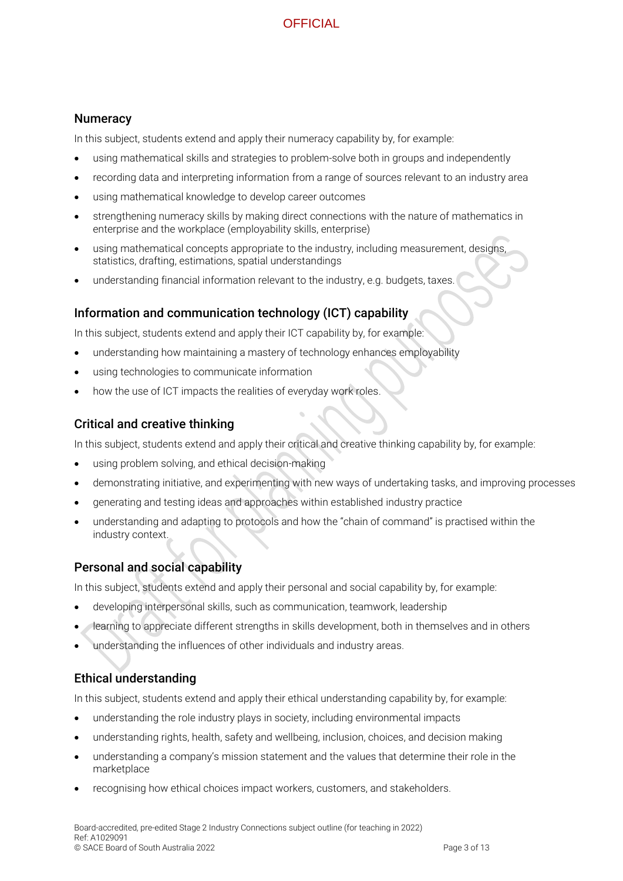#### **Numeracy**

In this subject, students extend and apply their numeracy capability by, for example:

- using mathematical skills and strategies to problem-solve both in groups and independently
- recording data and interpreting information from a range of sources relevant to an industry area
- using mathematical knowledge to develop career outcomes
- strengthening numeracy skills by making direct connections with the nature of mathematics in enterprise and the workplace (employability skills, enterprise)
- using mathematical concepts appropriate to the industry, including measurement, designs, statistics, drafting, estimations, spatial understandings
- understanding financial information relevant to the industry, e.g. budgets, taxes.

#### Information and communication technology (ICT) capability

In this subject, students extend and apply their ICT capability by, for example:

- understanding how maintaining a mastery of technology enhances employability
- using technologies to communicate information
- how the use of ICT impacts the realities of everyday work roles.

#### Critical and creative thinking

In this subject, students extend and apply their critical and creative thinking capability by, for example:

- using problem solving, and ethical decision-making
- demonstrating initiative, and experimenting with new ways of undertaking tasks, and improving processes
- generating and testing ideas and approaches within established industry practice
- understanding and adapting to protocols and how the "chain of command" is practised within the industry context.

#### Personal and social capability

In this subject, students extend and apply their personal and social capability by, for example:

- developing interpersonal skills, such as communication, teamwork, leadership
- learning to appreciate different strengths in skills development, both in themselves and in others
- understanding the influences of other individuals and industry areas.

#### Ethical understanding

In this subject, students extend and apply their ethical understanding capability by, for example:

- understanding the role industry plays in society, including environmental impacts
- understanding rights, health, safety and wellbeing, inclusion, choices, and decision making
- understanding a company's mission statement and the values that determine their role in the marketplace
- recognising how ethical choices impact workers, customers, and stakeholders.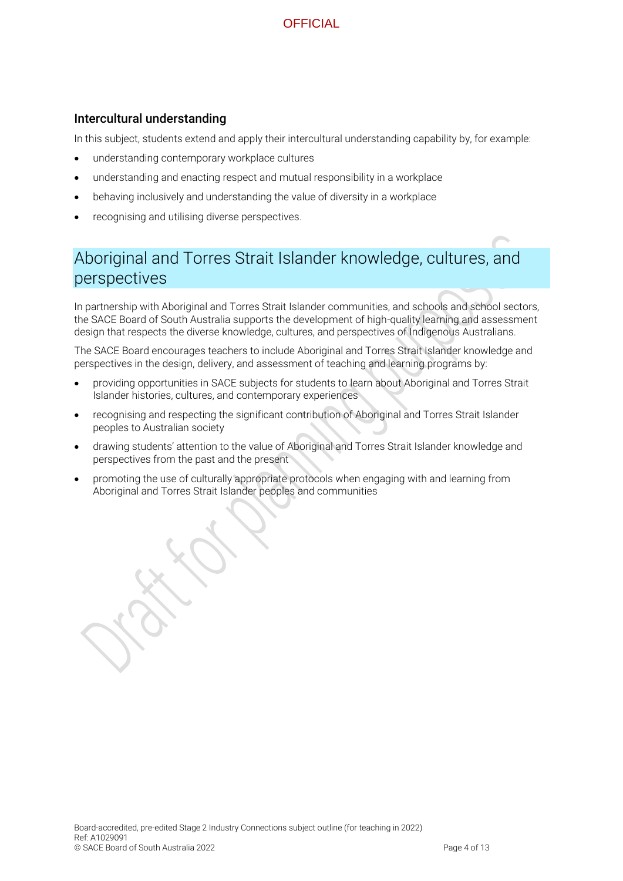#### Intercultural understanding

In this subject, students extend and apply their intercultural understanding capability by, for example:

- understanding contemporary workplace cultures
- understanding and enacting respect and mutual responsibility in a workplace
- behaving inclusively and understanding the value of diversity in a workplace
- recognising and utilising diverse perspectives.

# Aboriginal and Torres Strait Islander knowledge, cultures, and perspectives

In partnership with Aboriginal and Torres Strait Islander communities, and schools and school sectors, the SACE Board of South Australia supports the development of high-quality learning and assessment design that respects the diverse knowledge, cultures, and perspectives of Indigenous Australians.

The SACE Board encourages teachers to include Aboriginal and Torres Strait Islander knowledge and perspectives in the design, delivery, and assessment of teaching and learning programs by:

- providing opportunities in SACE subjects for students to learn about Aboriginal and Torres Strait Islander histories, cultures, and contemporary experiences
- recognising and respecting the significant contribution of Aboriginal and Torres Strait Islander peoples to Australian society
- drawing students' attention to the value of Aboriginal and Torres Strait Islander knowledge and perspectives from the past and the present
- promoting the use of culturally appropriate protocols when engaging with and learning from Aboriginal and Torres Strait Islander peoples and communities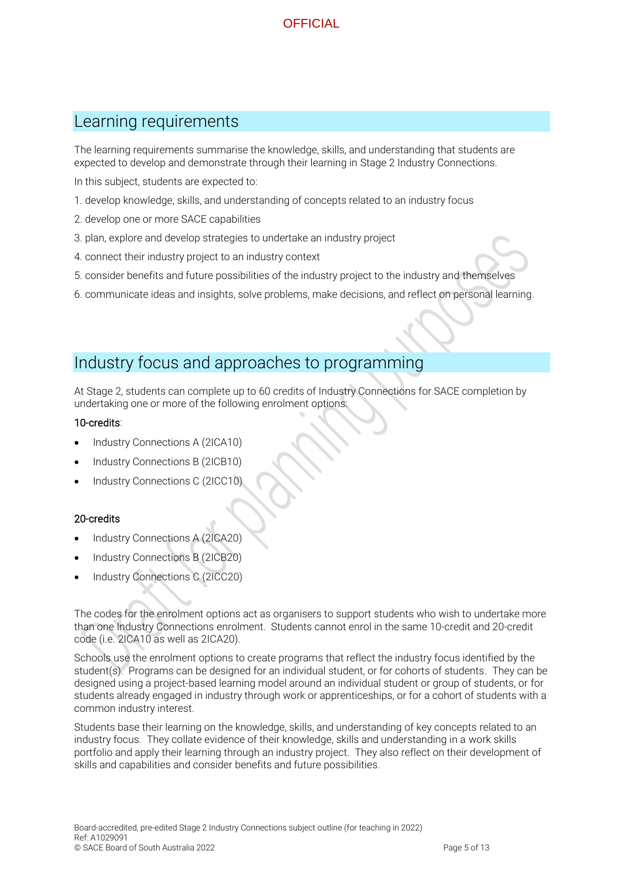### Learning requirements

The learning requirements summarise the knowledge, skills, and understanding that students are expected to develop and demonstrate through their learning in Stage 2 Industry Connections.

In this subject, students are expected to:

- 1. develop knowledge, skills, and understanding of concepts related to an industry focus
- 2. develop one or more SACE capabilities
- 3. plan, explore and develop strategies to undertake an industry project
- 4. connect their industry project to an industry context
- 5. consider benefits and future possibilities of the industry project to the industry and themselves
- 6. communicate ideas and insights, solve problems, make decisions, and reflect on personal learning.

### Industry focus and approaches to programming

At Stage 2, students can complete up to 60 credits of Industry Connections for SACE completion by undertaking one or more of the following enrolment options:

#### 10-credits:

- Industry Connections A (2ICA10)
- Industry Connections B (2ICB10)
- Industry Connections C (2ICC10)

#### 20-credits

- Industry Connections A (2ICA20)
- Industry Connections B (2ICB20)
- Industry Connections C (2ICC20)

The codes for the enrolment options act as organisers to support students who wish to undertake more than one Industry Connections enrolment. Students cannot enrol in the same 10-credit and 20-credit code (i.e. 2ICA10 as well as 2ICA20).

Schools use the enrolment options to create programs that reflect the industry focus identified by the student(s). Programs can be designed for an individual student, or for cohorts of students. They can be designed using a project-based learning model around an individual student or group of students, or for students already engaged in industry through work or apprenticeships, or for a cohort of students with a common industry interest.

Students base their learning on the knowledge, skills, and understanding of key concepts related to an industry focus. They collate evidence of their knowledge, skills and understanding in a work skills portfolio and apply their learning through an industry project. They also reflect on their development of skills and capabilities and consider benefits and future possibilities.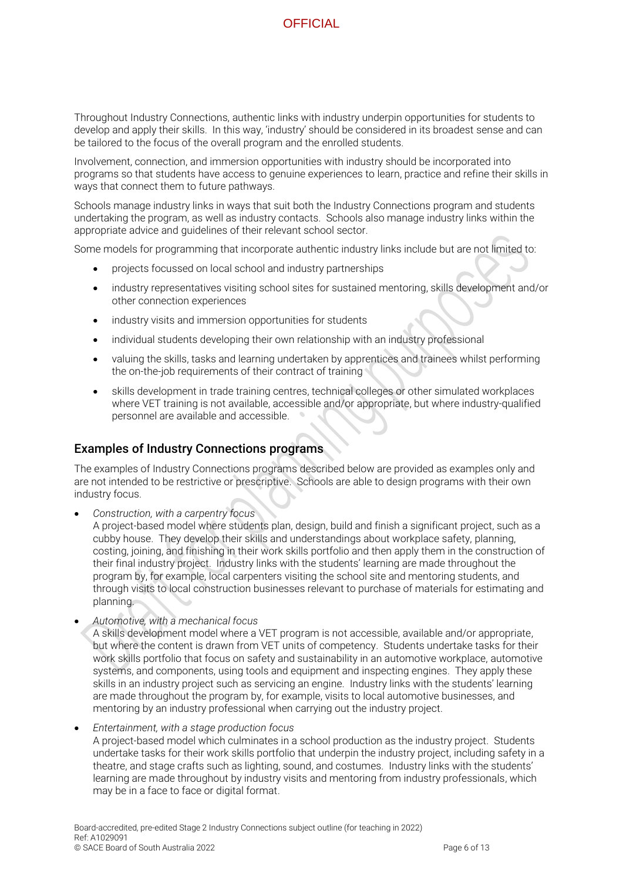Throughout Industry Connections, authentic links with industry underpin opportunities for students to develop and apply their skills. In this way, 'industry' should be considered in its broadest sense and can be tailored to the focus of the overall program and the enrolled students.

Involvement, connection, and immersion opportunities with industry should be incorporated into programs so that students have access to genuine experiences to learn, practice and refine their skills in ways that connect them to future pathways.

Schools manage industry links in ways that suit both the Industry Connections program and students undertaking the program, as well as industry contacts. Schools also manage industry links within the appropriate advice and guidelines of their relevant school sector.

Some models for programming that incorporate authentic industry links include but are not limited to:

- projects focussed on local school and industry partnerships
- industry representatives visiting school sites for sustained mentoring, skills development and/or other connection experiences
- industry visits and immersion opportunities for students
- individual students developing their own relationship with an industry professional
- valuing the skills, tasks and learning undertaken by apprentices and trainees whilst performing the on-the-job requirements of their contract of training
- skills development in trade training centres, technical colleges or other simulated workplaces where VET training is not available, accessible and/or appropriate, but where industry-qualified personnel are available and accessible.

#### Examples of Industry Connections programs

The examples of Industry Connections programs described below are provided as examples only and are not intended to be restrictive or prescriptive. Schools are able to design programs with their own industry focus.

• *Construction, with a carpentry focus*

A project-based model where students plan, design, build and finish a significant project, such as a cubby house. They develop their skills and understandings about workplace safety, planning, costing, joining, and finishing in their work skills portfolio and then apply them in the construction of their final industry project. Industry links with the students' learning are made throughout the program by, for example, local carpenters visiting the school site and mentoring students, and through visits to local construction businesses relevant to purchase of materials for estimating and planning.

• *Automotive, with a mechanical focus*

A skills development model where a VET program is not accessible, available and/or appropriate, but where the content is drawn from VET units of competency. Students undertake tasks for their work skills portfolio that focus on safety and sustainability in an automotive workplace, automotive systems, and components, using tools and equipment and inspecting engines. They apply these skills in an industry project such as servicing an engine. Industry links with the students' learning are made throughout the program by, for example, visits to local automotive businesses, and mentoring by an industry professional when carrying out the industry project.

• *Entertainment, with a stage production focus* A project-based model which culminates in a school production as the industry project. Students undertake tasks for their work skills portfolio that underpin the industry project, including safety in a theatre, and stage crafts such as lighting, sound, and costumes. Industry links with the students' learning are made throughout by industry visits and mentoring from industry professionals, which may be in a face to face or digital format.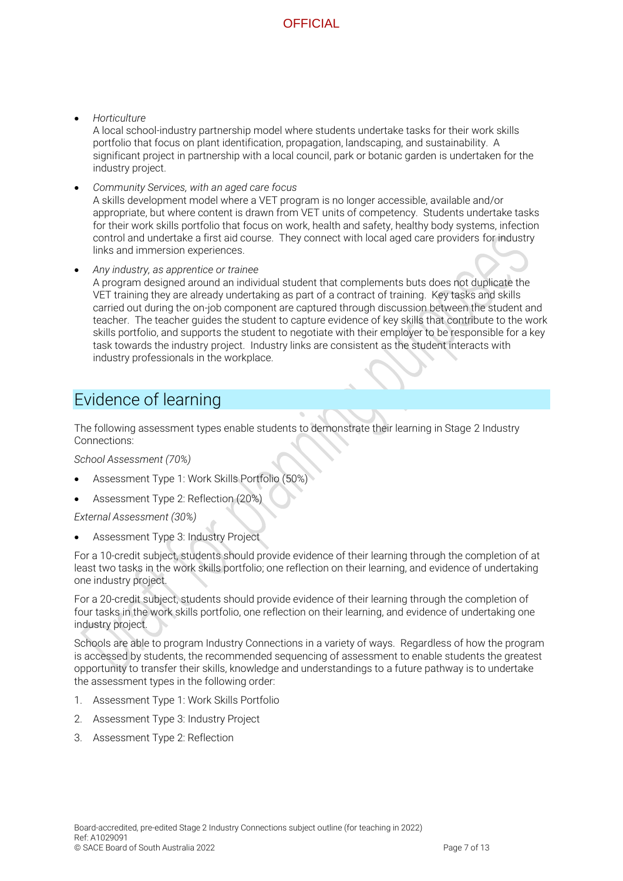• *Horticulture*

A local school-industry partnership model where students undertake tasks for their work skills portfolio that focus on plant identification, propagation, landscaping, and sustainability. A significant project in partnership with a local council, park or botanic garden is undertaken for the industry project.

- *Community Services, with an aged care focus* A skills development model where a VET program is no longer accessible, available and/or appropriate, but where content is drawn from VET units of competency. Students undertake tasks for their work skills portfolio that focus on work, health and safety, healthy body systems, infection control and undertake a first aid course. They connect with local aged care providers for industry links and immersion experiences.
- *Any industry, as apprentice or trainee* A program designed around an individual student that complements buts does not duplicate the VET training they are already undertaking as part of a contract of training. Key tasks and skills carried out during the on-job component are captured through discussion between the student and teacher. The teacher guides the student to capture evidence of key skills that contribute to the work skills portfolio, and supports the student to negotiate with their employer to be responsible for a key task towards the industry project. Industry links are consistent as the student interacts with industry professionals in the workplace.

# Evidence of learning

The following assessment types enable students to demonstrate their learning in Stage 2 Industry Connections:

*School Assessment (70%)*

- Assessment Type 1: Work Skills Portfolio (50%)
- Assessment Type 2: Reflection (20%)

*External Assessment (30%)*

• Assessment Type 3: Industry Project

For a 10-credit subject, students should provide evidence of their learning through the completion of at least two tasks in the work skills portfolio; one reflection on their learning, and evidence of undertaking one industry project.

For a 20-credit subject, students should provide evidence of their learning through the completion of four tasks in the work skills portfolio, one reflection on their learning, and evidence of undertaking one industry project.

Schools are able to program Industry Connections in a variety of ways. Regardless of how the program is accessed by students, the recommended sequencing of assessment to enable students the greatest opportunity to transfer their skills, knowledge and understandings to a future pathway is to undertake the assessment types in the following order:

- 1. Assessment Type 1: Work Skills Portfolio
- 2. Assessment Type 3: Industry Project
- 3. Assessment Type 2: Reflection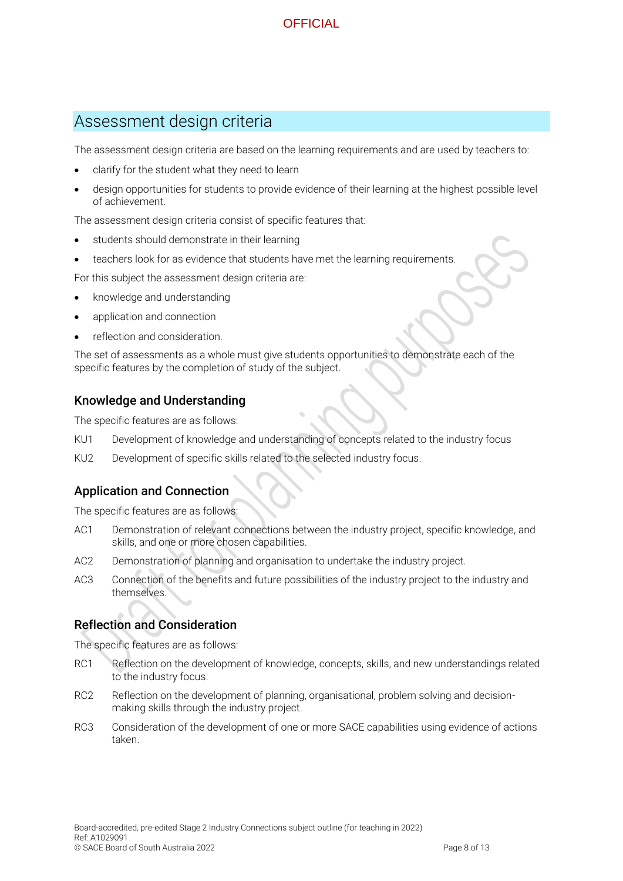# Assessment design criteria

The assessment design criteria are based on the learning requirements and are used by teachers to:

- clarify for the student what they need to learn
- design opportunities for students to provide evidence of their learning at the highest possible level of achievement.

The assessment design criteria consist of specific features that:

- students should demonstrate in their learning
- teachers look for as evidence that students have met the learning requirements.

For this subject the assessment design criteria are:

- knowledge and understanding
- application and connection
- reflection and consideration.

The set of assessments as a whole must give students opportunities to demonstrate each of the specific features by the completion of study of the subject.

#### Knowledge and Understanding

The specific features are as follows:

- KU1 Development of knowledge and understanding of concepts related to the industry focus
- KU2 Development of specific skills related to the selected industry focus.

#### Application and Connection

The specific features are as follows:

- AC1 Demonstration of relevant connections between the industry project, specific knowledge, and skills, and one or more chosen capabilities.
- AC2 Demonstration of planning and organisation to undertake the industry project.
- AC3 Connection of the benefits and future possibilities of the industry project to the industry and themselves.

#### Reflection and Consideration

The specific features are as follows:

- RC1 Reflection on the development of knowledge, concepts, skills, and new understandings related to the industry focus.
- RC2 Reflection on the development of planning, organisational, problem solving and decisionmaking skills through the industry project.
- RC3 Consideration of the development of one or more SACE capabilities using evidence of actions taken.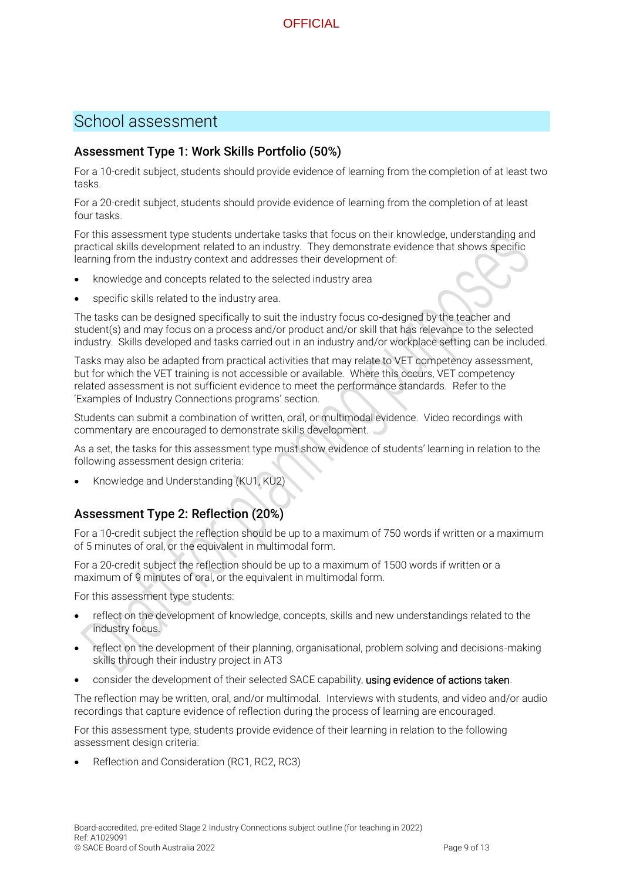## School assessment

#### Assessment Type 1: Work Skills Portfolio (50%)

For a 10-credit subject, students should provide evidence of learning from the completion of at least two tasks.

For a 20-credit subject, students should provide evidence of learning from the completion of at least four tasks.

For this assessment type students undertake tasks that focus on their knowledge, understanding and practical skills development related to an industry. They demonstrate evidence that shows specific learning from the industry context and addresses their development of:

- knowledge and concepts related to the selected industry area
- specific skills related to the industry area.

The tasks can be designed specifically to suit the industry focus co-designed by the teacher and student(s) and may focus on a process and/or product and/or skill that has relevance to the selected industry. Skills developed and tasks carried out in an industry and/or workplace setting can be included.

Tasks may also be adapted from practical activities that may relate to VET competency assessment, but for which the VET training is not accessible or available. Where this occurs, VET competency related assessment is not sufficient evidence to meet the performance standards. Refer to the 'Examples of Industry Connections programs' section.

Students can submit a combination of written, oral, or multimodal evidence. Video recordings with commentary are encouraged to demonstrate skills development.

As a set, the tasks for this assessment type must show evidence of students' learning in relation to the following assessment design criteria:

• Knowledge and Understanding (KU1, KU2)

#### Assessment Type 2: Reflection (20%)

For a 10-credit subject the reflection should be up to a maximum of 750 words if written or a maximum of 5 minutes of oral, or the equivalent in multimodal form.

For a 20-credit subject the reflection should be up to a maximum of 1500 words if written or a maximum of 9 minutes of oral, or the equivalent in multimodal form.

For this assessment type students:

- reflect on the development of knowledge, concepts, skills and new understandings related to the industry focus.
- reflect on the development of their planning, organisational, problem solving and decisions-making skills through their industry project in AT3
- consider the development of their selected SACE capability, using evidence of actions taken.

The reflection may be written, oral, and/or multimodal. Interviews with students, and video and/or audio recordings that capture evidence of reflection during the process of learning are encouraged.

For this assessment type, students provide evidence of their learning in relation to the following assessment design criteria:

• Reflection and Consideration (RC1, RC2, RC3)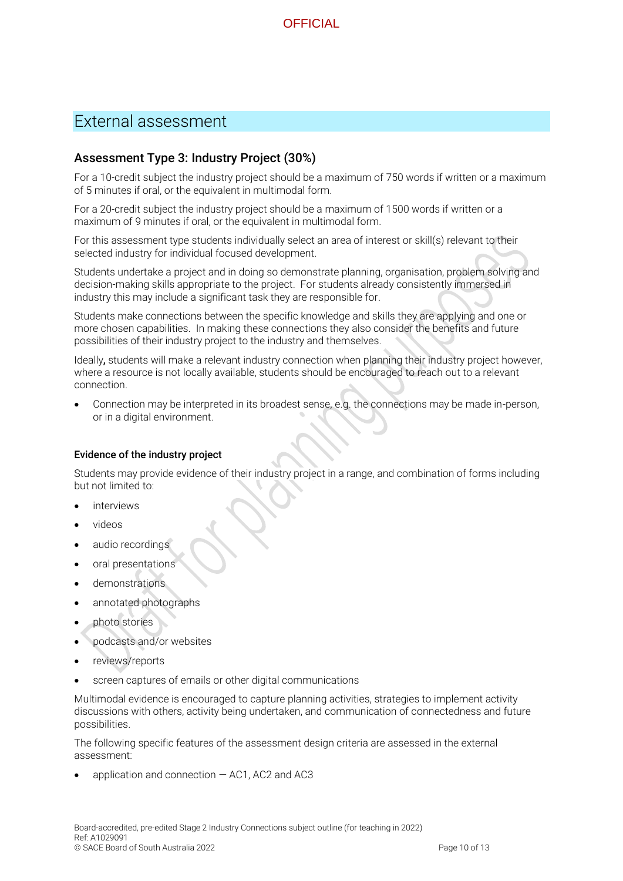

## External assessment

#### Assessment Type 3: Industry Project (30%)

For a 10-credit subject the industry project should be a maximum of 750 words if written or a maximum of 5 minutes if oral, or the equivalent in multimodal form.

For a 20-credit subject the industry project should be a maximum of 1500 words if written or a maximum of 9 minutes if oral, or the equivalent in multimodal form.

For this assessment type students individually select an area of interest or skill(s) relevant to their selected industry for individual focused development.

Students undertake a project and in doing so demonstrate planning, organisation, problem solving and decision-making skills appropriate to the project. For students already consistently immersed in industry this may include a significant task they are responsible for.

Students make connections between the specific knowledge and skills they are applying and one or more chosen capabilities. In making these connections they also consider the benefits and future possibilities of their industry project to the industry and themselves.

Ideally, students will make a relevant industry connection when planning their industry project however, where a resource is not locally available, students should be encouraged to reach out to a relevant connection.

• Connection may be interpreted in its broadest sense, e.g. the connections may be made in-person, or in a digital environment.

#### Evidence of the industry project

Students may provide evidence of their industry project in a range, and combination of forms including but not limited to:

- **interviews**
- videos
- audio recordings
- oral presentations
- demonstrations
- annotated photographs
- photo stories
- podcasts and/or websites
- reviews/reports
- screen captures of emails or other digital communications

Multimodal evidence is encouraged to capture planning activities, strategies to implement activity discussions with others, activity being undertaken, and communication of connectedness and future possibilities.

The following specific features of the assessment design criteria are assessed in the external assessment:

application and connection  $-$  AC1, AC2 and AC3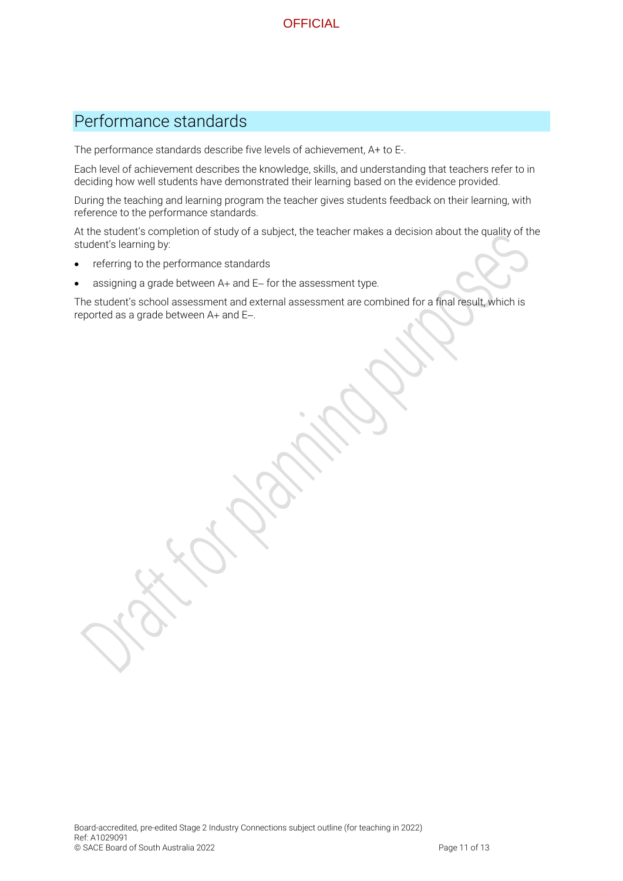## Performance standards

The performance standards describe five levels of achievement, A+ to E-.

Each level of achievement describes the knowledge, skills, and understanding that teachers refer to in deciding how well students have demonstrated their learning based on the evidence provided.

During the teaching and learning program the teacher gives students feedback on their learning, with reference to the performance standards.

At the student's completion of study of a subject, the teacher makes a decision about the quality of the student's learning by:

- referring to the performance standards
- assigning a grade between A+ and E− for the assessment type.

The student's school assessment and external assessment are combined for a final result, which is reported as a grade between A+ and E−.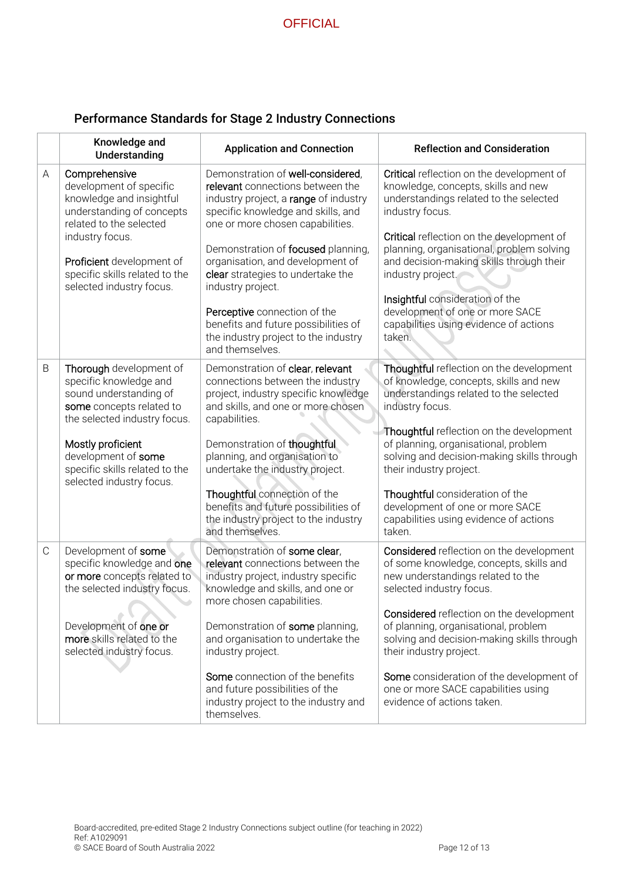### Performance Standards for Stage 2 Industry Connections

|               | Knowledge and<br>Understanding                                                                                                                                                                                                                    | <b>Application and Connection</b>                                                                                                                                                                                                                                                                                                                                                                                                                               | <b>Reflection and Consideration</b>                                                                                                                                                                                                                                                                                                                                                                                                       |
|---------------|---------------------------------------------------------------------------------------------------------------------------------------------------------------------------------------------------------------------------------------------------|-----------------------------------------------------------------------------------------------------------------------------------------------------------------------------------------------------------------------------------------------------------------------------------------------------------------------------------------------------------------------------------------------------------------------------------------------------------------|-------------------------------------------------------------------------------------------------------------------------------------------------------------------------------------------------------------------------------------------------------------------------------------------------------------------------------------------------------------------------------------------------------------------------------------------|
| A             | Comprehensive<br>development of specific<br>knowledge and insightful<br>understanding of concepts<br>related to the selected<br>industry focus.<br>Proficient development of<br>specific skills related to the<br>selected industry focus.        | Demonstration of well-considered,<br>relevant connections between the<br>industry project, a range of industry<br>specific knowledge and skills, and<br>one or more chosen capabilities.<br>Demonstration of focused planning,<br>organisation, and development of<br>clear strategies to undertake the<br>industry project.<br>Perceptive connection of the<br>benefits and future possibilities of<br>the industry project to the industry<br>and themselves. | Critical reflection on the development of<br>knowledge, concepts, skills and new<br>understandings related to the selected<br>industry focus.<br>Critical reflection on the development of<br>planning, organisational, problem solving<br>and decision-making skills through their<br>industry project.<br>Insightful consideration of the<br>development of one or more SACE<br>capabilities using evidence of actions<br>taken.        |
| B             | Thorough development of<br>specific knowledge and<br>sound understanding of<br>some concepts related to<br>the selected industry focus.<br>Mostly proficient<br>development of some<br>specific skills related to the<br>selected industry focus. | Demonstration of clear, relevant<br>connections between the industry<br>project, industry specific knowledge<br>and skills, and one or more chosen<br>capabilities.<br>Demonstration of thoughtful<br>planning, and organisation to<br>undertake the industry project.<br>Thoughtful connection of the<br>benefits and future possibilities of<br>the industry project to the industry<br>and themselves.                                                       | Thoughtful reflection on the development<br>of knowledge, concepts, skills and new<br>understandings related to the selected<br>industry focus.<br>Thoughtful reflection on the development<br>of planning, organisational, problem<br>solving and decision-making skills through<br>their industry project.<br>Thoughtful consideration of the<br>development of one or more SACE<br>capabilities using evidence of actions<br>taken.    |
| $\mathcal{C}$ | Development of some<br>specific knowledge and one<br>or more concepts related to<br>the selected industry focus.<br>Development of one or<br>more skills related to the<br>selected industry focus.                                               | Demonstration of some clear,<br>relevant connections between the<br>industry project, industry specific<br>knowledge and skills, and one or<br>more chosen capabilities<br>Demonstration of some planning,<br>and organisation to undertake the<br>industry project.<br>Some connection of the benefits<br>and future possibilities of the<br>industry project to the industry and<br>themselves.                                                               | Considered reflection on the development<br>of some knowledge, concepts, skills and<br>new understandings related to the<br>selected industry focus.<br><b>Considered</b> reflection on the development<br>of planning, organisational, problem<br>solving and decision-making skills through<br>their industry project.<br>Some consideration of the development of<br>one or more SACE capabilities using<br>evidence of actions taken. |